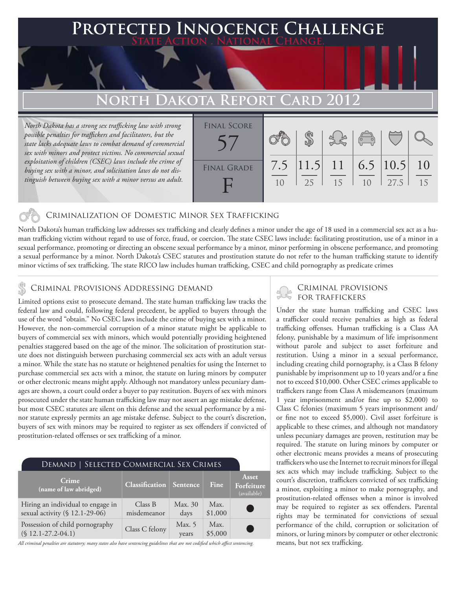### **FED INNOCENCE CHALLENGE State Action . National Change.**

## **North Dakota Report Card 2012**

*North Dakota has a strong sex trafficking law with strong possible penalties for traffickers and facilitators, but the state lacks adequate laws to combat demand of commercial sex with minors and protect victims. No commercial sexual exploitation of children (CSEC) laws include the crime of buying sex with a minor, and solicitation laws do not distinguish between buying sex with a minor versus an adult.*

| <b>FINAL SCORE</b> |    |    |                                    | $\left  \begin{array}{c} \leftarrow \rightarrow \rightarrow \end{array} \right $ |      |          |
|--------------------|----|----|------------------------------------|----------------------------------------------------------------------------------|------|----------|
| <b>FINAL GRADE</b> | 10 | 25 | 7.5 $ 11.5 $ 11 $ 6.5 10.5 $<br>15 | 10 <sup>°</sup>                                                                  | 27.5 | 10<br>15 |

### Criminalization of Domestic Minor Sex Trafficking

North Dakota's human trafficking law addresses sex trafficking and clearly defines a minor under the age of 18 used in a commercial sex act as a human trafficking victim without regard to use of force, fraud, or coercion. The state CSEC laws include: facilitating prostitution, use of a minor in a sexual performance, promoting or directing an obscene sexual performance by a minor, minor performing in obscene performance, and promoting a sexual performance by a minor. North Dakota's CSEC statutes and prostitution statute do not refer to the human trafficking statute to identify minor victims of sex trafficking. The state RICO law includes human trafficking, CSEC and child pornography as predicate crimes

### Criminal provisions Addressing demand

Limited options exist to prosecute demand. The state human trafficking law tracks the federal law and could, following federal precedent, be applied to buyers through the use of the word "obtain." No CSEC laws include the crime of buying sex with a minor. However, the non-commercial corruption of a minor statute might be applicable to buyers of commercial sex with minors, which would potentially providing heightened penalties staggered based on the age of the minor. The solicitation of prostitution statute does not distinguish between purchasing commercial sex acts with an adult versus a minor. While the state has no statute or heightened penalties for using the Internet to purchase commercial sex acts with a minor, the statute on luring minors by computer or other electronic means might apply. Although not mandatory unless pecuniary damages are shown, a court could order a buyer to pay restitution. Buyers of sex with minors prosecuted under the state human trafficking law may not assert an age mistake defense, but most CSEC statutes are silent on this defense and the sexual performance by a minor statute expressly permits an age mistake defense. Subject to the court's discretion, buyers of sex with minors may be required to register as sex offenders if convicted of prostitution-related offenses or sex trafficking of a minor.

| DEMAND   SELECTED COMMERCIAL SEX CRIMES                             |                                |                 |                 |                                    |  |  |
|---------------------------------------------------------------------|--------------------------------|-----------------|-----------------|------------------------------------|--|--|
| Crime<br>(name of law abridged)                                     | <b>Classification</b> Sentence |                 | Fine            | Asset<br>Forfeiture<br>(available) |  |  |
| Hiring an individual to engage in<br>sexual activity (§ 12.1-29-06) | Class B<br>misdemeanor         | Max. 30<br>days | Max.<br>\$1,000 |                                    |  |  |
| Possession of child pornography<br>$(S 12.1 - 27.2 - 04.1)$         | Class C felony                 | Max. 5<br>years | Max.<br>\$5,000 |                                    |  |  |

*All criminal penalties are statutory; many states also have sentencing guidelines that are not codified which affect sentencing.* 

# Criminal provisions

Under the state human trafficking and CSEC laws a trafficker could receive penalties as high as federal trafficking offenses. Human trafficking is a Class AA felony, punishable by a maximum of life imprisonment without parole and subject to asset forfeiture and restitution. Using a minor in a sexual performance, including creating child pornography, is a Class B felony punishable by imprisonment up to 10 years and/or a fine not to exceed \$10,000. Other CSEC crimes applicable to traffickers range from Class A misdemeanors (maximum 1 year imprisonment and/or fine up to \$2,000) to Class C felonies (maximum 5 years imprisonment and/ or fine not to exceed \$5,000). Civil asset forfeiture is applicable to these crimes, and although not mandatory unless pecuniary damages are proven, restitution may be required. The statute on luring minors by computer or other electronic means provides a means of prosecuting traffickers who use the Internet to recruit minors for illegal sex acts which may include trafficking. Subject to the court's discretion, traffickers convicted of sex trafficking a minor, exploiting a minor to make pornography, and prostitution-related offenses when a minor is involved may be required to register as sex offenders. Parental rights may be terminated for convictions of sexual performance of the child, corruption or solicitation of minors, or luring minors by computer or other electronic means, but not sex trafficking.